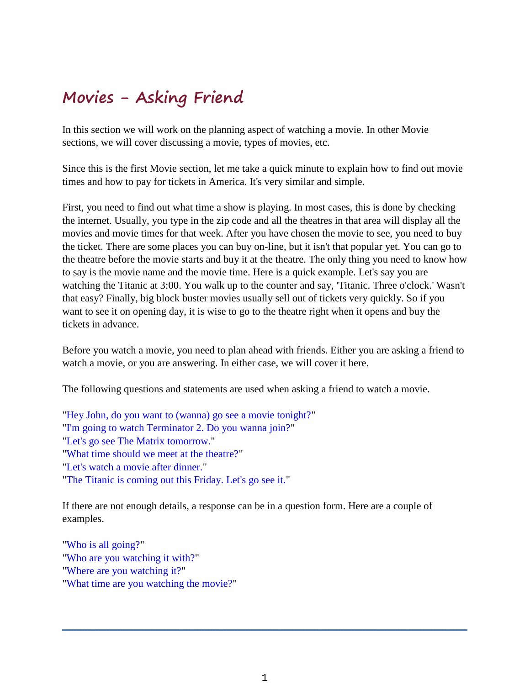# **Movies - Asking Friend**

In this section we will work on the planning aspect of watching a movie. In other Movie sections, we will cover discussing a movie, types of movies, etc.

Since this is the first Movie section, let me take a quick minute to explain how to find out movie times and how to pay for tickets in America. It's very similar and simple.

First, you need to find out what time a show is playing. In most cases, this is done by checking the internet. Usually, you type in the zip code and all the theatres in that area will display all the movies and movie times for that week. After you have chosen the movie to see, you need to buy the ticket. There are some places you can buy on-line, but it isn't that popular yet. You can go to the theatre before the movie starts and buy it at the theatre. The only thing you need to know how to say is the movie name and the movie time. Here is a quick example. Let's say you are watching the Titanic at 3:00. You walk up to the counter and say, 'Titanic. Three o'clock.' Wasn't that easy? Finally, big block buster movies usually sell out of tickets very quickly. So if you want to see it on opening day, it is wise to go to the theatre right when it opens and buy the tickets in advance.

Before you watch a movie, you need to plan ahead with friends. Either you are asking a friend to watch a movie, or you are answering. In either case, we will cover it here.

The following questions and statements are used when asking a friend to watch a movie.

"Hey John, do you want to (wanna) go see a movie tonight?" "I'm going to watch Terminator 2. Do you wanna join?" "Let's go see The Matrix tomorrow." "What time should we meet at the theatre?" "Let's watch a movie after dinner." "The Titanic is coming out this Friday. Let's go see it."

If there are not enough details, a response can be in a question form. Here are a couple of examples.

"Who is all going?" "Who are you watching it with?" "Where are you watching it?" "What time are you watching the movie?"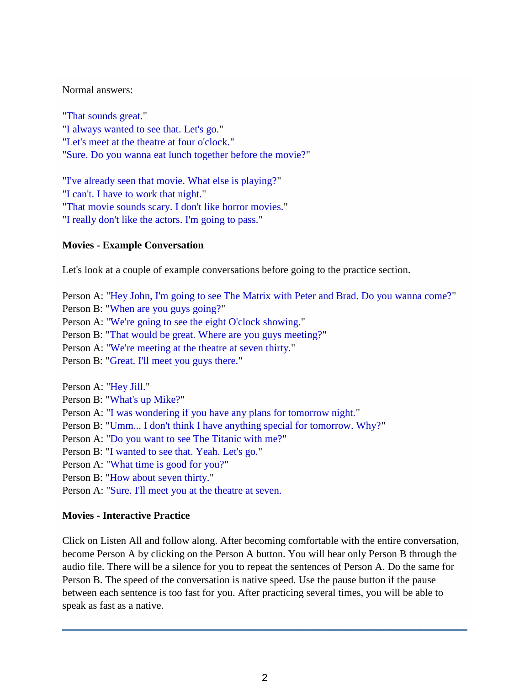### Normal answers:

"That sounds great." "I always wanted to see that. Let's go." "Let's meet at the theatre at four o'clock." "Sure. Do you wanna eat lunch together before the movie?"

"I've already seen that movie. What else is playing?" "I can't. I have to work that night." "That movie sounds scary. I don't like horror movies." "I really don't like the actors. I'm going to pass."

## **Movies - Example Conversation**

Let's look at a couple of example conversations before going to the practice section.

- Person A: "Hey John, I'm going to see The Matrix with Peter and Brad. Do you wanna come?"
- Person B: "When are you guys going?"
- Person A: "We're going to see the eight O'clock showing."
- Person B: "That would be great. Where are you guys meeting?"
- Person A: "We're meeting at the theatre at seven thirty."
- Person B: "Great. I'll meet you guys there."

Person A: "Hey Jill."

- Person B: "What's up Mike?"
- Person A: "I was wondering if you have any plans for tomorrow night."
- Person B: "Umm... I don't think I have anything special for tomorrow. Why?"
- Person A: "Do you want to see The Titanic with me?"
- Person B: "I wanted to see that. Yeah. Let's go."
- Person A: "What time is good for you?"
- Person B: "How about seven thirty."
- Person A: "Sure. I'll meet you at the theatre at seven.

## **Movies - Interactive Practice**

Click on Listen All and follow along. After becoming comfortable with the entire conversation, become Person A by clicking on the Person A button. You will hear only Person B through the audio file. There will be a silence for you to repeat the sentences of Person A. Do the same for Person B. The speed of the conversation is native speed. Use the pause button if the pause between each sentence is too fast for you. After practicing several times, you will be able to speak as fast as a native.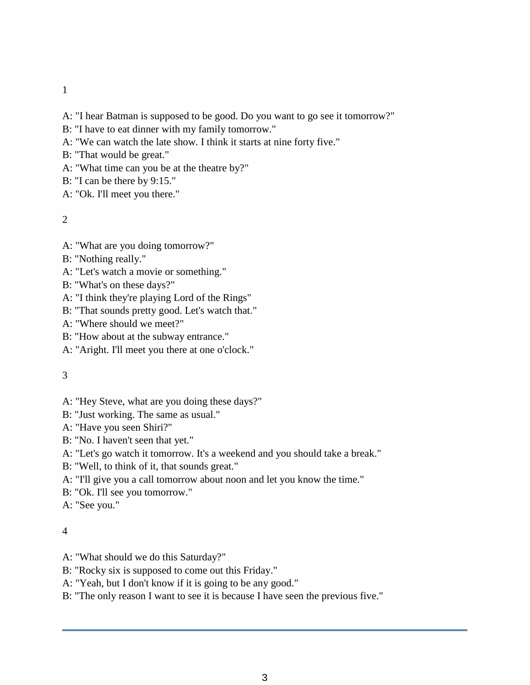- 1
- A: "I hear Batman is supposed to be good. Do you want to go see it tomorrow?"
- B: "I have to eat dinner with my family tomorrow."
- A: "We can watch the late show. I think it starts at nine forty five."
- B: "That would be great."
- A: "What time can you be at the theatre by?"
- B: "I can be there by 9:15."
- A: "Ok. I'll meet you there."

2

- A: "What are you doing tomorrow?"
- B: "Nothing really."
- A: "Let's watch a movie or something."
- B: "What's on these days?"
- A: "I think they're playing Lord of the Rings"
- B: "That sounds pretty good. Let's watch that."
- A: "Where should we meet?"
- B: "How about at the subway entrance."
- A: "Aright. I'll meet you there at one o'clock."

#### 3

- A: "Hey Steve, what are you doing these days?"
- B: "Just working. The same as usual."
- A: "Have you seen Shiri?"
- B: "No. I haven't seen that yet."
- A: "Let's go watch it tomorrow. It's a weekend and you should take a break."
- B: "Well, to think of it, that sounds great."
- A: "I'll give you a call tomorrow about noon and let you know the time."
- B: "Ok. I'll see you tomorrow."

A: "See you."

#### 4

- A: "What should we do this Saturday?"
- B: "Rocky six is supposed to come out this Friday."
- A: "Yeah, but I don't know if it is going to be any good."
- B: "The only reason I want to see it is because I have seen the previous five."